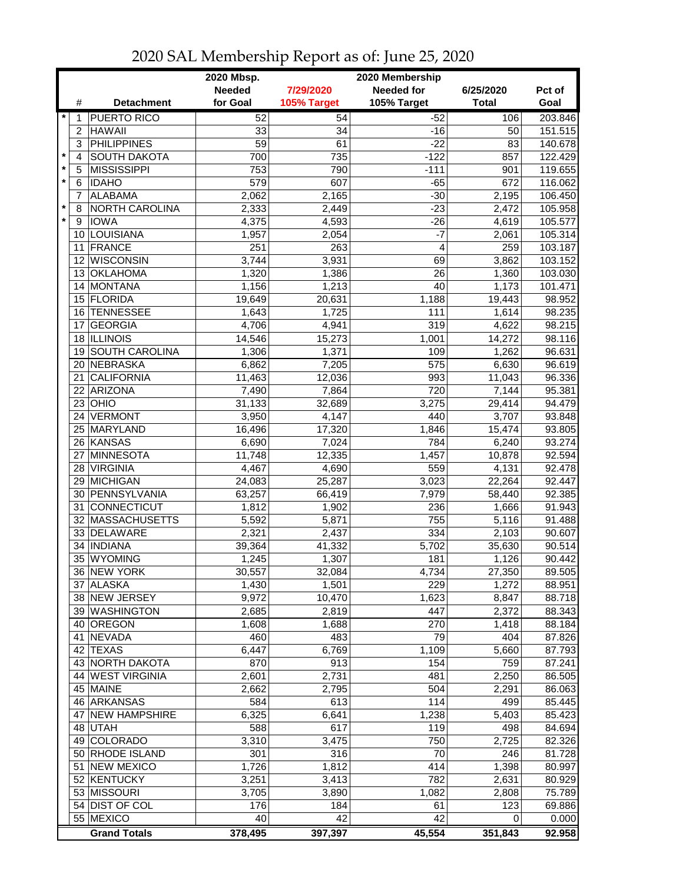|                         |                 |                               | 2020 Mbsp.<br>2020 Membership |                 |                   |                 |                    |  |
|-------------------------|-----------------|-------------------------------|-------------------------------|-----------------|-------------------|-----------------|--------------------|--|
|                         |                 |                               | <b>Needed</b>                 | 7/29/2020       | <b>Needed for</b> | 6/25/2020       | Pct of             |  |
|                         | #               | <b>Detachment</b>             | for Goal                      | 105% Target     | 105% Target       | <b>Total</b>    | Goal               |  |
| $\star$                 | 1               | <b>PUERTO RICO</b>            | 52                            | 54              | $-52$             | 106             | 203.846            |  |
|                         | $\overline{2}$  | <b>HAWAII</b>                 | 33                            | 34              | $-16$             | 50              | 151.515            |  |
|                         | 3               | <b>PHILIPPINES</b>            | 59                            | 61              | $-22$             | 83              | 140.678            |  |
| $\star$                 | 4               | <b>SOUTH DAKOTA</b>           | 700                           | 735             | $-122$            | 857             | 122.429            |  |
| $\pmb{\ast}$<br>$\star$ | 5               | <b>MISSISSIPPI</b>            | 753                           | 790             | $-111$            | 901             | 119.655            |  |
|                         | 6               | <b>IDAHO</b>                  | 579                           | 607             | $-65$             | 672             | 116.062            |  |
| $\star$                 | 7               | <b>ALABAMA</b>                | 2,062                         | 2,165           | $-30$             | 2,195           | 106.450            |  |
| $\star$                 | 8               | NORTH CAROLINA<br><b>IOWA</b> | 2,333                         | 2,449<br>4,593  | $-23$             | 2,472           | 105.958            |  |
|                         | 9               | 10 LOUISIANA                  | 4,375<br>1,957                | 2,054           | $-26$<br>$-7$     | 4,619<br>2,061  | 105.577<br>105.314 |  |
|                         |                 | 11 FRANCE                     | 251                           | 263             | 4                 | 259             | 103.187            |  |
|                         | 12 <sup>2</sup> | <b>WISCONSIN</b>              | 3,744                         | 3,931           | 69                | 3,862           | 103.152            |  |
|                         |                 | 13 OKLAHOMA                   | 1,320                         | 1,386           | 26                | 1,360           | 103.030            |  |
|                         |                 | 14 MONTANA                    | 1,156                         | 1,213           | 40                | 1,173           | 101.471            |  |
|                         |                 | 15 FLORIDA                    | 19,649                        | 20,631          | 1,188             | 19,443          | 98.952             |  |
|                         | 16              | <b>TENNESSEE</b>              | 1,643                         | 1,725           | 111               | 1,614           | 98.235             |  |
|                         | 17              | <b>GEORGIA</b>                | 4,706                         | 4,941           | 319               | 4,622           | 98.215             |  |
|                         |                 | 18 ILLINOIS                   | 14,546                        | 15,273          | 1,001             | 14,272          | 98.116             |  |
|                         | 19              | <b>SOUTH CAROLINA</b>         | 1,306                         | 1,371           | 109               | 1,262           | 96.631             |  |
|                         | 20              | NEBRASKA                      | 6,862                         | 7,205           | 575               | 6,630           | 96.619             |  |
|                         | 21              | <b>CALIFORNIA</b>             | 11,463                        | 12,036          | 993               | 11,043          | 96.336             |  |
|                         | 22              | ARIZONA                       | 7,490                         | 7,864           | 720               | 7,144           | 95.381             |  |
|                         | 23              | OHIO                          | 31,133                        | 32,689          | 3,275             | 29,414          | 94.479             |  |
|                         | 24              | VERMONT                       | 3,950                         | 4,147           | 440               | 3,707           | 93.848             |  |
|                         | 25              | <b>MARYLAND</b>               | 16,496                        | 17,320          | 1,846             | 15,474          | 93.805             |  |
|                         |                 | 26 KANSAS                     | 6,690                         | 7,024           | 784               | 6,240           | 93.274             |  |
|                         |                 | 27 MINNESOTA                  | 11,748                        | 12,335          | 1,457             | 10,878          | 92.594             |  |
|                         |                 | 28 VIRGINIA                   | 4,467                         | 4,690           | 559               | 4,131           | 92.478             |  |
|                         |                 | 29 MICHIGAN                   | 24,083                        | 25,287          | 3,023             | 22,264          | 92.447             |  |
|                         |                 | 30 PENNSYLVANIA               | 63,257                        | 66,419          | 7,979             | 58,440          | 92.385             |  |
|                         |                 | 31 CONNECTICUT                | 1,812                         | 1,902           | 236               | 1,666           | 91.943             |  |
|                         |                 | 32 MASSACHUSETTS              | 5,592                         | 5,871           | 755               | 5,116           | 91.488             |  |
|                         | 34              | 33 DELAWARE<br><b>INDIANA</b> | 2,321<br>39,364               | 2,437<br>41,332 | 334<br>5,702      | 2,103<br>35,630 | 90.607<br>90.514   |  |
|                         |                 | 35 WYOMING                    | 1,245                         | 1,307           | 181               | 1,126           | 90.442             |  |
|                         |                 | 36 NEW YORK                   | 30,557                        | 32,084          | 4,734             | 27,350          | 89.505             |  |
|                         |                 | 37 ALASKA                     | 1,430                         | 1,501           | 229               | 1,272           | 88.951             |  |
|                         |                 | 38 NEW JERSEY                 | 9,972                         | 10,470          | 1,623             | 8,847           | 88.718             |  |
|                         |                 | 39 WASHINGTON                 | 2,685                         | 2,819           | 447               | 2,372           | 88.343             |  |
|                         |                 | 40 OREGON                     | 1,608                         | 1,688           | 270               | 1,418           | 88.184             |  |
|                         |                 | 41 NEVADA                     | 460                           | 483             | 79                | 404             | 87.826             |  |
|                         |                 | 42 TEXAS                      | 6,447                         | 6,769           | 1,109             | 5,660           | 87.793             |  |
|                         |                 | 43 NORTH DAKOTA               | 870                           | 913             | 154               | 759             | 87.241             |  |
|                         |                 | 44 WEST VIRGINIA              | 2,601                         | 2,731           | 481               | 2,250           | 86.505             |  |
|                         |                 | 45 MAINE                      | 2,662                         | 2,795           | 504               | 2,291           | 86.063             |  |
|                         |                 | 46 ARKANSAS                   | 584                           | 613             | 114               | 499             | 85.445             |  |
|                         |                 | 47 NEW HAMPSHIRE              | 6,325                         | 6,641           | 1,238             | 5,403           | 85.423             |  |
|                         |                 | 48 UTAH                       | 588                           | 617             | 119               | 498             | 84.694             |  |
|                         |                 | 49 COLORADO                   | 3,310                         | 3,475           | 750               | 2,725           | 82.326             |  |
|                         |                 | 50 RHODE ISLAND               | 301                           | 316             | 70                | 246             | 81.728             |  |
|                         |                 | 51 NEW MEXICO                 | 1,726                         | 1,812           | 414               | 1,398           | 80.997             |  |
|                         |                 | 52 KENTUCKY                   | 3,251                         | 3,413           | 782               | 2,631           | 80.929             |  |
|                         |                 | 53 MISSOURI                   | 3,705                         | 3,890           | 1,082             | 2,808           | 75.789             |  |
|                         |                 | 54 DIST OF COL                | 176                           | 184             | 61                | 123             | 69.886             |  |
|                         |                 | 55 MEXICO                     | 40                            | 42              | 42                | 0               | 0.000              |  |
|                         |                 | <b>Grand Totals</b>           | 378,495                       | 397,397         | 45,554            | 351,843         | 92.958             |  |

## 2020 SAL Membership Report as of: June 25, 2020